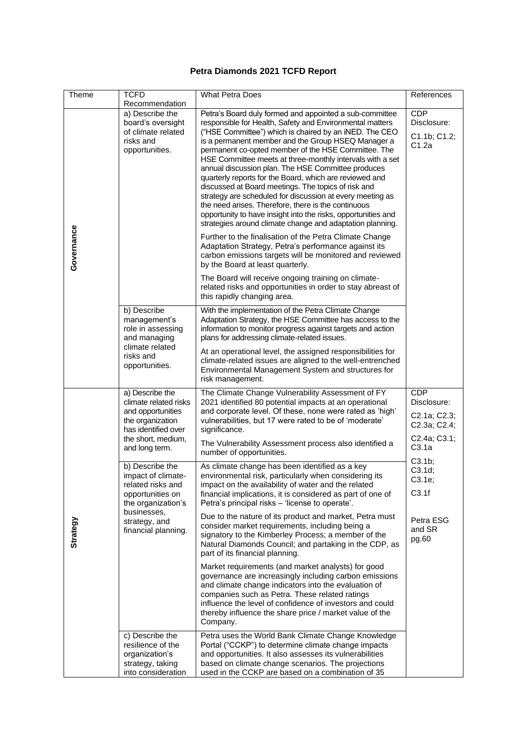## **Petra Diamonds 2021 TCFD Report**

| Theme      | <b>TCFD</b><br>Recommendation                                                                                                                               | <b>What Petra Does</b>                                                                                                                                                                                                                                                                                                                                                                                                                                                                                                                                                                                                                                                                                                                                                            | References                                         |
|------------|-------------------------------------------------------------------------------------------------------------------------------------------------------------|-----------------------------------------------------------------------------------------------------------------------------------------------------------------------------------------------------------------------------------------------------------------------------------------------------------------------------------------------------------------------------------------------------------------------------------------------------------------------------------------------------------------------------------------------------------------------------------------------------------------------------------------------------------------------------------------------------------------------------------------------------------------------------------|----------------------------------------------------|
| Governance | a) Describe the<br>board's oversight<br>of climate related<br>risks and<br>opportunities.                                                                   | Petra's Board duly formed and appointed a sub-committee<br>responsible for Health, Safety and Environmental matters<br>("HSE Committee") which is chaired by an iNED. The CEO<br>is a permanent member and the Group HSEQ Manager a<br>permanent co-opted member of the HSE Committee. The<br>HSE Committee meets at three-monthly intervals with a set<br>annual discussion plan. The HSE Committee produces<br>quarterly reports for the Board, which are reviewed and<br>discussed at Board meetings. The topics of risk and<br>strategy are scheduled for discussion at every meeting as<br>the need arises. Therefore, there is the continuous<br>opportunity to have insight into the risks, opportunities and<br>strategies around climate change and adaptation planning. | <b>CDP</b><br>Disclosure:<br>C1.1b; C1.2;<br>C1.2a |
|            |                                                                                                                                                             | Further to the finalisation of the Petra Climate Change<br>Adaptation Strategy, Petra's performance against its<br>carbon emissions targets will be monitored and reviewed<br>by the Board at least quarterly.                                                                                                                                                                                                                                                                                                                                                                                                                                                                                                                                                                    |                                                    |
|            |                                                                                                                                                             | The Board will receive ongoing training on climate-<br>related risks and opportunities in order to stay abreast of<br>this rapidly changing area.                                                                                                                                                                                                                                                                                                                                                                                                                                                                                                                                                                                                                                 |                                                    |
|            | b) Describe<br>management's<br>role in assessing<br>and managing<br>climate related<br>risks and<br>opportunities.                                          | With the implementation of the Petra Climate Change<br>Adaptation Strategy, the HSE Committee has access to the<br>information to monitor progress against targets and action<br>plans for addressing climate-related issues.                                                                                                                                                                                                                                                                                                                                                                                                                                                                                                                                                     |                                                    |
|            |                                                                                                                                                             | At an operational level, the assigned responsibilities for<br>climate-related issues are aligned to the well-entrenched<br>Environmental Management System and structures for<br>risk management.                                                                                                                                                                                                                                                                                                                                                                                                                                                                                                                                                                                 |                                                    |
|            | a) Describe the<br>climate related risks<br>and opportunities<br>the organization<br>has identified over<br>the short, medium,<br>and long term.            | The Climate Change Vulnerability Assessment of FY<br>2021 identified 80 potential impacts at an operational<br>and corporate level. Of these, none were rated as 'high'<br>vulnerabilities, but 17 were rated to be of 'moderate'<br>significance.                                                                                                                                                                                                                                                                                                                                                                                                                                                                                                                                | <b>CDP</b><br>Disclosure:                          |
| Strategy   |                                                                                                                                                             |                                                                                                                                                                                                                                                                                                                                                                                                                                                                                                                                                                                                                                                                                                                                                                                   | C2.1a; C2.3;<br>C2.3a; C2.4;                       |
|            |                                                                                                                                                             | The Vulnerability Assessment process also identified a<br>number of opportunities.                                                                                                                                                                                                                                                                                                                                                                                                                                                                                                                                                                                                                                                                                                | C2.4a; C3.1;<br>C3.1a                              |
|            | b) Describe the<br>impact of climate-<br>related risks and<br>opportunities on<br>the organization's<br>businesses,<br>strategy, and<br>financial planning. | As climate change has been identified as a key<br>environmental risk, particularly when considering its<br>impact on the availability of water and the related<br>financial implications, it is considered as part of one of<br>Petra's principal risks – 'license to operate'.                                                                                                                                                                                                                                                                                                                                                                                                                                                                                                   | C3.1b;<br>C3.1d;<br>C3.1e;                         |
|            |                                                                                                                                                             |                                                                                                                                                                                                                                                                                                                                                                                                                                                                                                                                                                                                                                                                                                                                                                                   | C3.1f                                              |
|            |                                                                                                                                                             | Due to the nature of its product and market, Petra must<br>consider market requirements, including being a<br>signatory to the Kimberley Process; a member of the<br>Natural Diamonds Council; and partaking in the CDP, as<br>part of its financial planning.                                                                                                                                                                                                                                                                                                                                                                                                                                                                                                                    | Petra ESG<br>and SR<br>pg.60                       |
|            |                                                                                                                                                             | Market requirements (and market analysts) for good<br>governance are increasingly including carbon emissions<br>and climate change indicators into the evaluation of<br>companies such as Petra. These related ratings<br>influence the level of confidence of investors and could<br>thereby influence the share price / market value of the<br>Company.                                                                                                                                                                                                                                                                                                                                                                                                                         |                                                    |
|            | c) Describe the<br>resilience of the<br>organization's<br>strategy, taking<br>into consideration                                                            | Petra uses the World Bank Climate Change Knowledge<br>Portal ("CCKP") to determine climate change impacts<br>and opportunities. It also assesses its vulnerabilities<br>based on climate change scenarios. The projections<br>used in the CCKP are based on a combination of 35                                                                                                                                                                                                                                                                                                                                                                                                                                                                                                   |                                                    |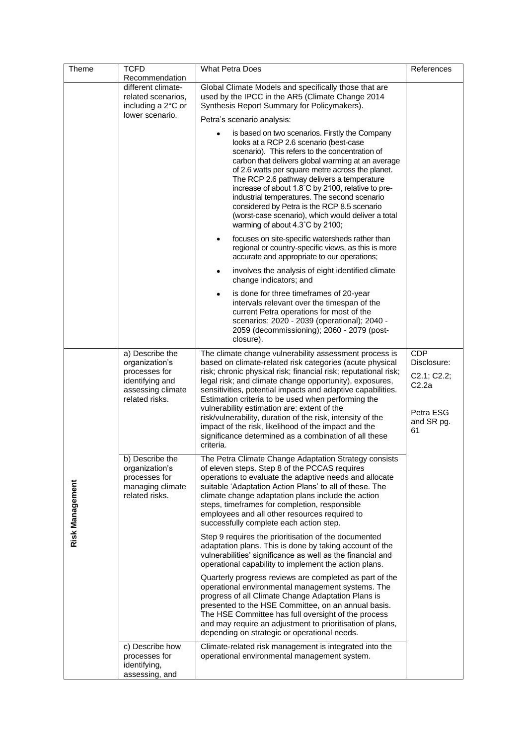| Theme           | <b>TCFD</b>                                                                                                  | <b>What Petra Does</b>                                                                                                                                                                                                                                                                                                                                                                                                                                                                                                                                                                                           | References                                                                         |
|-----------------|--------------------------------------------------------------------------------------------------------------|------------------------------------------------------------------------------------------------------------------------------------------------------------------------------------------------------------------------------------------------------------------------------------------------------------------------------------------------------------------------------------------------------------------------------------------------------------------------------------------------------------------------------------------------------------------------------------------------------------------|------------------------------------------------------------------------------------|
|                 | Recommendation                                                                                               |                                                                                                                                                                                                                                                                                                                                                                                                                                                                                                                                                                                                                  |                                                                                    |
|                 | different climate-                                                                                           | Global Climate Models and specifically those that are                                                                                                                                                                                                                                                                                                                                                                                                                                                                                                                                                            |                                                                                    |
|                 | related scenarios,                                                                                           | used by the IPCC in the AR5 (Climate Change 2014                                                                                                                                                                                                                                                                                                                                                                                                                                                                                                                                                                 |                                                                                    |
|                 | including a 2°C or                                                                                           | Synthesis Report Summary for Policymakers).                                                                                                                                                                                                                                                                                                                                                                                                                                                                                                                                                                      |                                                                                    |
|                 | lower scenario.                                                                                              | Petra's scenario analysis:                                                                                                                                                                                                                                                                                                                                                                                                                                                                                                                                                                                       |                                                                                    |
|                 |                                                                                                              | is based on two scenarios. Firstly the Company<br>looks at a RCP 2.6 scenario (best-case<br>scenario). This refers to the concentration of<br>carbon that delivers global warming at an average<br>of 2.6 watts per square metre across the planet.<br>The RCP 2.6 pathway delivers a temperature<br>increase of about 1.8°C by 2100, relative to pre-<br>industrial temperatures. The second scenario<br>considered by Petra is the RCP 8.5 scenario<br>(worst-case scenario), which would deliver a total<br>warming of about 4.3°C by 2100;                                                                   |                                                                                    |
|                 |                                                                                                              | focuses on site-specific watersheds rather than<br>regional or country-specific views, as this is more<br>accurate and appropriate to our operations;                                                                                                                                                                                                                                                                                                                                                                                                                                                            |                                                                                    |
|                 |                                                                                                              | involves the analysis of eight identified climate<br>٠<br>change indicators; and                                                                                                                                                                                                                                                                                                                                                                                                                                                                                                                                 |                                                                                    |
|                 |                                                                                                              | is done for three timeframes of 20-year<br>$\bullet$<br>intervals relevant over the timespan of the<br>current Petra operations for most of the<br>scenarios: 2020 - 2039 (operational); 2040 -<br>2059 (decommissioning); 2060 - 2079 (post-<br>closure).                                                                                                                                                                                                                                                                                                                                                       |                                                                                    |
| Risk Management | a) Describe the<br>organization's<br>processes for<br>identifying and<br>assessing climate<br>related risks. | The climate change vulnerability assessment process is<br>based on climate-related risk categories (acute physical<br>risk; chronic physical risk; financial risk; reputational risk;<br>legal risk; and climate change opportunity), exposures,<br>sensitivities, potential impacts and adaptive capabilities.<br>Estimation criteria to be used when performing the<br>vulnerability estimation are: extent of the<br>risk/vulnerability, duration of the risk, intensity of the<br>impact of the risk, likelihood of the impact and the<br>significance determined as a combination of all these<br>criteria. | <b>CDP</b><br>Disclosure:<br>C2.1; C2.2;<br>C2.2a<br>Petra ESG<br>and SR pg.<br>61 |
|                 | b) Describe the<br>organization's<br>processes for<br>managing climate<br>related risks.                     | The Petra Climate Change Adaptation Strategy consists<br>of eleven steps. Step 8 of the PCCAS requires<br>operations to evaluate the adaptive needs and allocate<br>suitable 'Adaptation Action Plans' to all of these. The<br>climate change adaptation plans include the action<br>steps, timeframes for completion, responsible<br>employees and all other resources required to<br>successfully complete each action step.                                                                                                                                                                                   |                                                                                    |
|                 |                                                                                                              | Step 9 requires the prioritisation of the documented<br>adaptation plans. This is done by taking account of the<br>vulnerabilities' significance as well as the financial and<br>operational capability to implement the action plans.                                                                                                                                                                                                                                                                                                                                                                           |                                                                                    |
|                 |                                                                                                              | Quarterly progress reviews are completed as part of the<br>operational environmental management systems. The<br>progress of all Climate Change Adaptation Plans is<br>presented to the HSE Committee, on an annual basis.<br>The HSE Committee has full oversight of the process<br>and may require an adjustment to prioritisation of plans,<br>depending on strategic or operational needs.                                                                                                                                                                                                                    |                                                                                    |
|                 | c) Describe how<br>processes for<br>identifying,<br>assessing, and                                           | Climate-related risk management is integrated into the<br>operational environmental management system.                                                                                                                                                                                                                                                                                                                                                                                                                                                                                                           |                                                                                    |